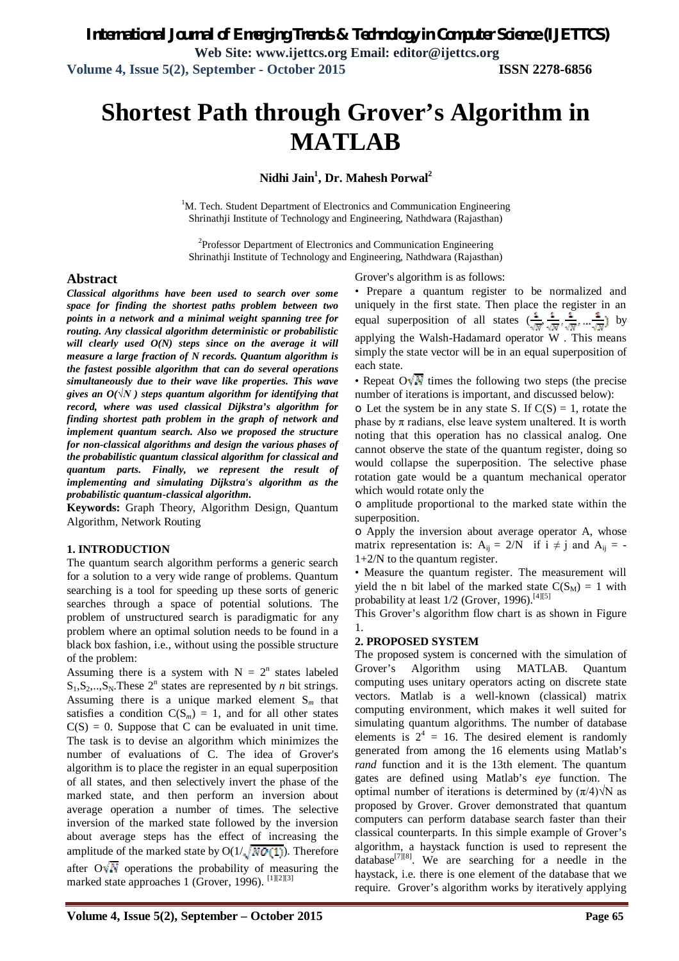# **Shortest Path through Grover's Algorithm in MATLAB**

**Nidhi Jain<sup>1</sup> , Dr. Mahesh Porwal<sup>2</sup>**

<sup>1</sup>M. Tech. Student Department of Electronics and Communication Engineering Shrinathji Institute of Technology and Engineering, Nathdwara (Rajasthan)

<sup>2</sup>Professor Department of Electronics and Communication Engineering Shrinathji Institute of Technology and Engineering, Nathdwara (Rajasthan)

#### **Abstract**

*Classical algorithms have been used to search over some space for finding the shortest paths problem between two points in a network and a minimal weight spanning tree for routing. Any classical algorithm deterministic or probabilistic will clearly used O(N) steps since on the average it will measure a large fraction of N records. Quantum algorithm is the fastest possible algorithm that can do several operations simultaneously due to their wave like properties. This wave gives an O(* $\sqrt{N}$ *) steps quantum algorithm for identifying that record, where was used classical Dijkstra's algorithm for finding shortest path problem in the graph of network and implement quantum search. Also we proposed the structure for non-classical algorithms and design the various phases of the probabilistic quantum classical algorithm for classical and quantum parts. Finally, we represent the result of implementing and simulating Dijkstra's algorithm as the probabilistic quantum-classical algorithm.*

**Keywords:** Graph Theory, Algorithm Design, Quantum Algorithm, Network Routing

#### **1. INTRODUCTION**

The quantum search algorithm performs a generic search for a solution to a very wide range of problems. Quantum searching is a tool for speeding up these sorts of generic searches through a space of potential solutions. The problem of unstructured search is paradigmatic for any problem where an optimal solution needs to be found in a black box fashion, i.e., without using the possible structure of the problem:

Assuming there is a system with  $N = 2<sup>n</sup>$  states labeled  $S_1, S_2, \ldots, S_N$ . These  $2^n$  states are represented by *n* bit strings. Assuming there is a unique marked element S*<sup>m</sup>* that satisfies a condition  $C(S_m) = 1$ , and for all other states  $C(S) = 0$ . Suppose that C can be evaluated in unit time. The task is to devise an algorithm which minimizes the number of evaluations of C. The idea of Grover's algorithm is to place the register in an equal superposition of all states, and then selectively invert the phase of the marked state, and then perform an inversion about average operation a number of times. The selective inversion of the marked state followed by the inversion about average steps has the effect of increasing the amplitude of the marked state by  $O(1/\sqrt{N O(1)})$ . Therefore after  $\overline{O\sqrt{M}}$  operations the probability of measuring the marked state approaches 1 (Grover, 1996). [1][2][3]

Grover's algorithm is as follows:

• Prepare a quantum register to be normalized and uniquely in the first state. Then place the register in an equal superposition of all states  $(\frac{1}{\sqrt{N}}, \frac{1}{\sqrt{N}}, \frac{1}{\sqrt{N}}, \dots, \frac{1}{\sqrt{N}})$  by applying the Walsh-Hadamard operator W . This means simply the state vector will be in an equal superposition of each state.

• Repeat O  $\sqrt{N}$  times the following two steps (the precise number of iterations is important, and discussed below):

 $\circ$  Let the system be in any state S. If  $C(S) = 1$ , rotate the phase by  $\pi$  radians, else leave system unaltered. It is worth noting that this operation has no classical analog. One cannot observe the state of the quantum register, doing so would collapse the superposition. The selective phase rotation gate would be a quantum mechanical operator which would rotate only the

o amplitude proportional to the marked state within the superposition.

o Apply the inversion about average operator A, whose matrix representation is:  $A_{ii} = 2/N$  if  $i \neq j$  and  $A_{ii} = -l$ 1+2/N to the quantum register.

• Measure the quantum register. The measurement will yield the n bit label of the marked state  $C(S_M) = 1$  with probability at least  $1/2$  (Grover, 1996).<sup>[4][5]</sup>

This Grover's algorithm flow chart is as shown in Figure 1.

#### **2. PROPOSED SYSTEM**

The proposed system is concerned with the simulation of Grover's Algorithm using MATLAB. Quantum computing uses unitary operators acting on discrete state vectors. Matlab is a well-known (classical) matrix computing environment, which makes it well suited for simulating quantum algorithms. The number of database elements is  $2^4 = 16$ . The desired element is randomly generated from among the 16 elements using Matlab's *rand* function and it is the 13th element. The quantum gates are defined using Matlab's *eye* function. The optimal number of iterations is determined by  $(\pi/4)\sqrt{N}$  as proposed by Grover. Grover demonstrated that quantum computers can perform database search faster than their classical counterparts. In this simple example of Grover's algorithm, a haystack function is used to represent the database<sup>[7][8]</sup>. We are searching for a needle in the haystack, i.e. there is one element of the database that we require. Grover's algorithm works by iteratively applying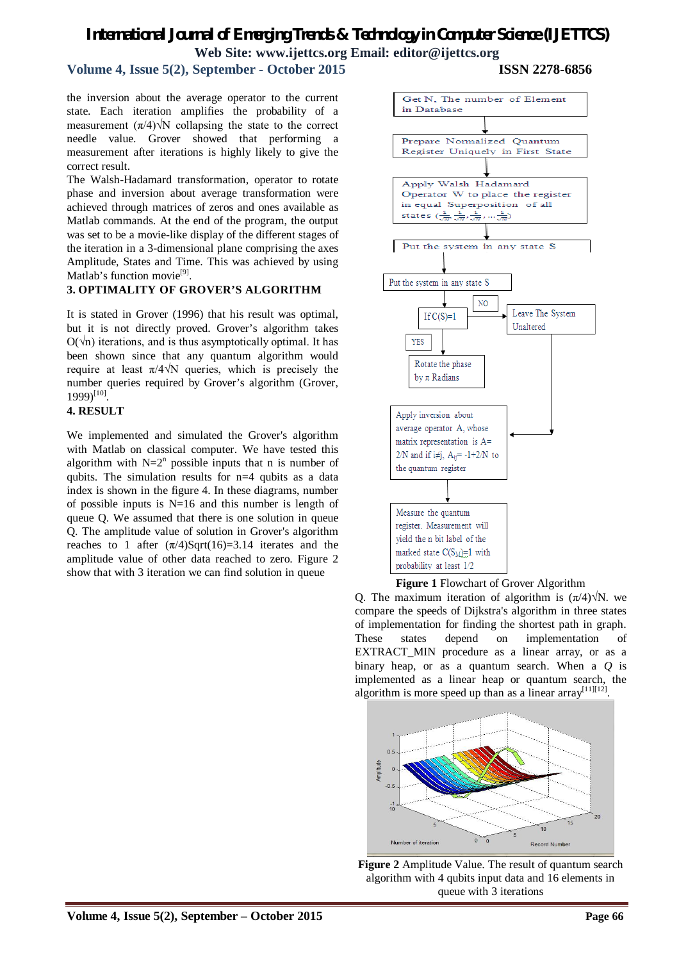# *International Journal of Emerging Trends & Technology in Computer Science (IJETTCS)* **Web Site: www.ijettcs.org Email: editor@ijettcs.org**

### **Volume 4, Issue 5(2), September - October 2015 ISSN 2278-6856**

the inversion about the average operator to the current state. Each iteration amplifies the probability of a measurement  $(\pi/4)\sqrt{N}$  collapsing the state to the correct needle value. Grover showed that performing a measurement after iterations is highly likely to give the correct result.

The Walsh-Hadamard transformation, operator to rotate phase and inversion about average transformation were achieved through matrices of zeros and ones available as Matlab commands. At the end of the program, the output was set to be a movie-like display of the different stages of the iteration in a 3-dimensional plane comprising the axes Amplitude, States and Time. This was achieved by using Matlab's function movie<sup>[9]</sup>.

#### **3. OPTIMALITY OF GROVER'S ALGORITHM**

It is stated in Grover (1996) that his result was optimal, but it is not directly proved. Grover's algorithm takes  $O(\sqrt{n})$  iterations, and is thus asymptotically optimal. It has been shown since that any quantum algorithm would require at least  $π/4√N$  queries, which is precisely the number queries required by Grover's algorithm (Grover,  $1999$ <sup>[10]</sup>.

#### **4. RESULT**

We implemented and simulated the Grover's algorithm with Matlab on classical computer. We have tested this algorithm with  $N=2^n$  possible inputs that n is number of qubits. The simulation results for n=4 qubits as a data index is shown in the figure 4. In these diagrams, number of possible inputs is  $N=16$  and this number is length of queue Q. We assumed that there is one solution in queue Q. The amplitude value of solution in Grover's algorithm reaches to 1 after  $(\pi/4)$ Sqrt $(16)=3.14$  iterates and the amplitude value of other data reached to zero. Figure 2 show that with 3 iteration we can find solution in queue



Q. The maximum iteration of algorithm is  $(\pi/4)\sqrt{N}$ . we compare the speeds of Dijkstra's algorithm in three states of implementation for finding the shortest path in graph. These states depend on implementation of EXTRACT MIN procedure as a linear array, or as a binary heap, or as a quantum search. When a *Q* is

implemented as a linear heap or quantum search, the



**Figure 2** Amplitude Value. The result of quantum search algorithm with 4 qubits input data and 16 elements in queue with 3 iterations